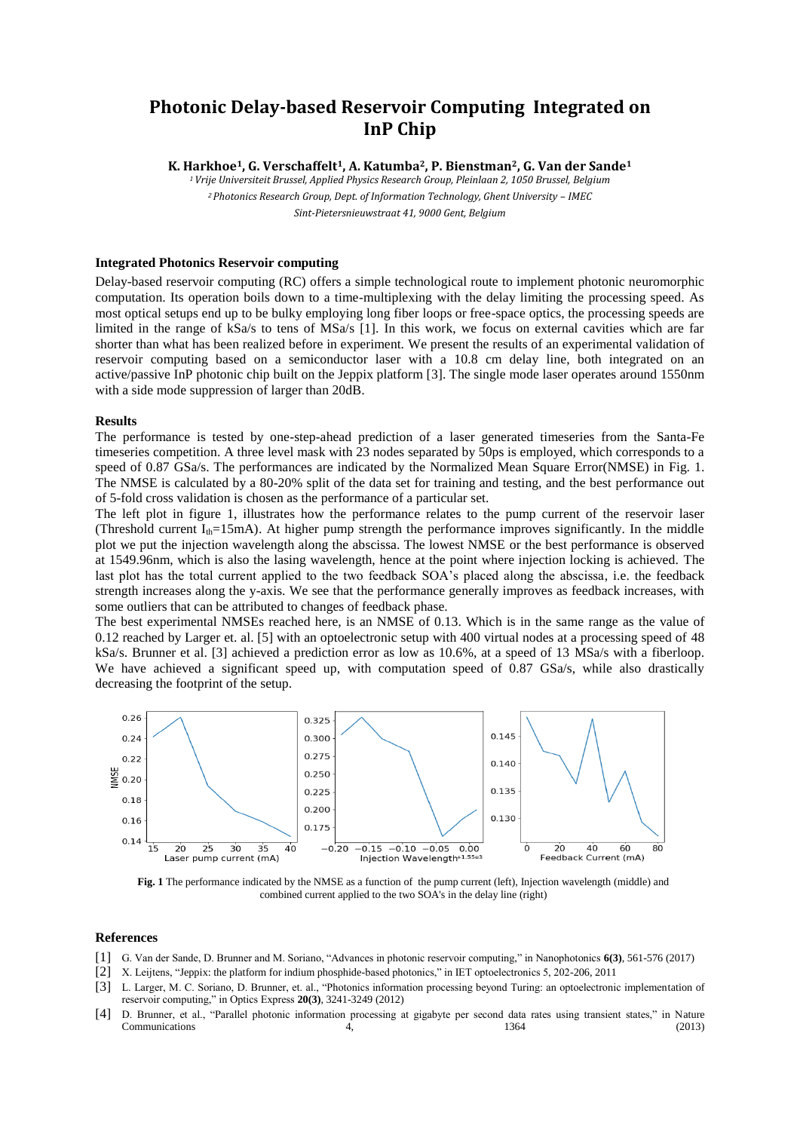## **Photonic Delay-based Reservoir Computing Integrated on InP Chip**

**K. Harkhoe1, G. Verschaffelt1, A. Katumba2, P. Bienstman2, G. Van der Sande<sup>1</sup>**

*<sup>1</sup>Vrije Universiteit Brussel, Applied Physics Research Group, Pleinlaan 2, 1050 Brussel, Belgium*

*2* Photonics Research Group, Dept. of Information Technology, Ghent University - IMEC *Sint-Pietersnieuwstraat 41, 9000 Gent, Belgium*

## **Integrated Photonics Reservoir computing**

Delay-based reservoir computing (RC) offers a simple technological route to implement photonic neuromorphic computation. Its operation boils down to a time-multiplexing with the delay limiting the processing speed. As most optical setups end up to be bulky employing long fiber loops or free-space optics, the processing speeds are limited in the range of kSa/s to tens of MSa/s [1]. In this work, we focus on external cavities which are far shorter than what has been realized before in experiment. We present the results of an experimental validation of reservoir computing based on a semiconductor laser with a 10.8 cm delay line, both integrated on an active/passive InP photonic chip built on the Jeppix platform [3]. The single mode laser operates around 1550nm with a side mode suppression of larger than 20dB.

## **Results**

The performance is tested by one-step-ahead prediction of a laser generated timeseries from the Santa-Fe timeseries competition. A three level mask with 23 nodes separated by 50ps is employed, which corresponds to a speed of 0.87 GSa/s. The performances are indicated by the Normalized Mean Square Error(NMSE) in Fig. 1. The NMSE is calculated by a 80-20% split of the data set for training and testing, and the best performance out of 5-fold cross validation is chosen as the performance of a particular set.

The left plot in figure 1, illustrates how the performance relates to the pump current of the reservoir laser (Threshold current  $I_{th}=15 \text{mA}$ ). At higher pump strength the performance improves significantly. In the middle plot we put the injection wavelength along the abscissa. The lowest NMSE or the best performance is observed at 1549.96nm, which is also the lasing wavelength, hence at the point where injection locking is achieved. The last plot has the total current applied to the two feedback SOA's placed along the abscissa, i.e. the feedback strength increases along the y-axis. We see that the performance generally improves as feedback increases, with some outliers that can be attributed to changes of feedback phase.

The best experimental NMSEs reached here, is an NMSE of 0.13. Which is in the same range as the value of 0.12 reached by Larger et. al. [5] with an optoelectronic setup with 400 virtual nodes at a processing speed of 48 kSa/s. Brunner et al. [3] achieved a prediction error as low as 10.6%, at a speed of 13 MSa/s with a fiberloop. We have achieved a significant speed up, with computation speed of 0.87 GSa/s, while also drastically decreasing the footprint of the setup.



**Fig. 1** The performance indicated by the NMSE as a function of the pump current (left), Injection wavelength (middle) and combined current applied to the two SOA's in the delay line (right)

## **References**

- [1] G. Van der Sande, D. Brunner and M. Soriano, "Advances in photonic reservoir computing," in Nanophotonics **6(3)**, 561-576 (2017)
- [2] X. Leijtens, "Jeppix: the platform for indium phosphide-based photonics," in IET optoelectronics 5, 202-206, 2011
- [3] L. Larger, M. C. Soriano, D. Brunner, et. al., "Photonics information processing beyond Turing: an optoelectronic implementation of reservoir computing," in Optics Express **20(3)**, 3241-3249 (2012)
- [4] D. Brunner, et al., "Parallel photonic information processing at gigabyte per second data rates using transient states," in Nature  $\text{Communications}$  (2013)